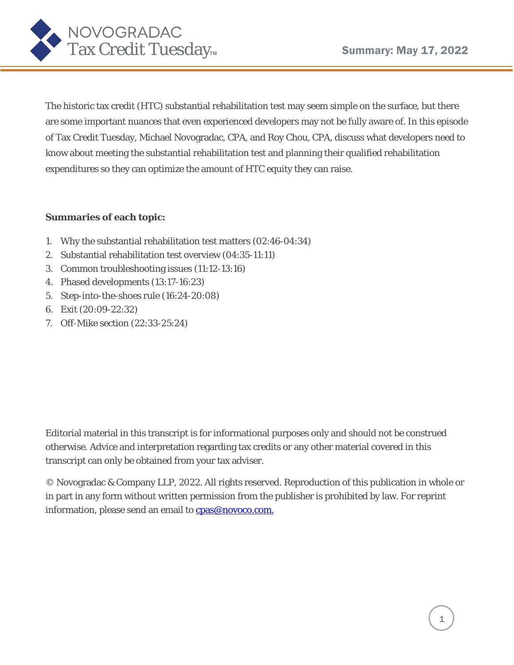

The historic tax credit (HTC) substantial rehabilitation test may seem simple on the surface, but there are some important nuances that even experienced developers may not be fully aware of. In this episode of Tax Credit Tuesday, Michael Novogradac, CPA, and Roy Chou, CPA, discuss what developers need to know about meeting the substantial rehabilitation test and planning their qualified rehabilitation expenditures so they can optimize the amount of HTC equity they can raise.

## **Summaries of each topic:**

- 1. Why the substantial rehabilitation test matters (02:46-04:34)
- 2. Substantial rehabilitation test overview (04:35-11:11)
- 3. Common troubleshooting issues (11:12-13:16)
- 4. Phased developments (13:17-16:23)
- 5. Step-into-the-shoes rule (16:24-20:08)
- 6. Exit (20:09-22:32)
- 7. Off-Mike section (22:33-25:24)

Editorial material in this transcript is for informational purposes only and should not be construed otherwise. Advice and interpretation regarding tax credits or any other material covered in this transcript can only be obtained from your tax adviser.

© Novogradac & Company LLP, 2022. All rights reserved. Reproduction of this publication in whole or in part in any form without written permission from the publisher is prohibited by law. For reprint information, please send an email to **cpas@novoco.com.**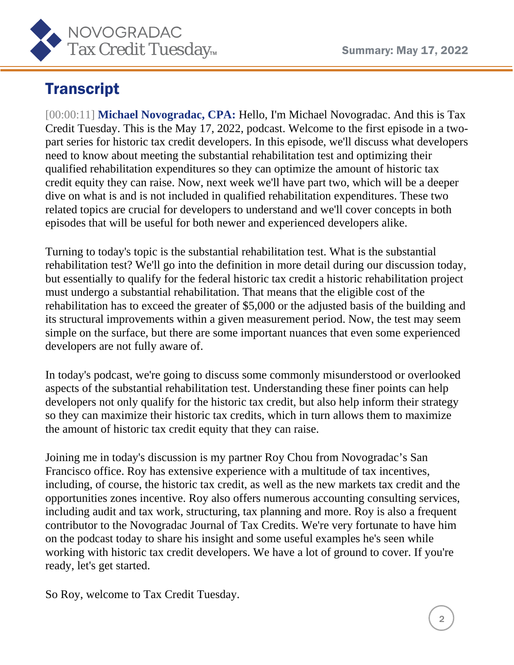

## **Transcript**

[00:00:11] **Michael Novogradac, CPA:** Hello, I'm Michael Novogradac. And this is Tax Credit Tuesday. This is the May 17, 2022, podcast. Welcome to the first episode in a twopart series for historic tax credit developers. In this episode, we'll discuss what developers need to know about meeting the substantial rehabilitation test and optimizing their qualified rehabilitation expenditures so they can optimize the amount of historic tax credit equity they can raise. Now, next week we'll have part two, which will be a deeper dive on what is and is not included in qualified rehabilitation expenditures. These two related topics are crucial for developers to understand and we'll cover concepts in both episodes that will be useful for both newer and experienced developers alike.

Turning to today's topic is the substantial rehabilitation test. What is the substantial rehabilitation test? We'll go into the definition in more detail during our discussion today, but essentially to qualify for the federal historic tax credit a historic rehabilitation project must undergo a substantial rehabilitation. That means that the eligible cost of the rehabilitation has to exceed the greater of \$5,000 or the adjusted basis of the building and its structural improvements within a given measurement period. Now, the test may seem simple on the surface, but there are some important nuances that even some experienced developers are not fully aware of.

In today's podcast, we're going to discuss some commonly misunderstood or overlooked aspects of the substantial rehabilitation test. Understanding these finer points can help developers not only qualify for the historic tax credit, but also help inform their strategy so they can maximize their historic tax credits, which in turn allows them to maximize the amount of historic tax credit equity that they can raise.

Joining me in today's discussion is my partner Roy Chou from Novogradac's San Francisco office. Roy has extensive experience with a multitude of tax incentives, including, of course, the historic tax credit, as well as the new markets tax credit and the opportunities zones incentive. Roy also offers numerous accounting consulting services, including audit and tax work, structuring, tax planning and more. Roy is also a frequent contributor to the Novogradac Journal of Tax Credits. We're very fortunate to have him on the podcast today to share his insight and some useful examples he's seen while working with historic tax credit developers. We have a lot of ground to cover. If you're ready, let's get started.

So Roy, welcome to Tax Credit Tuesday.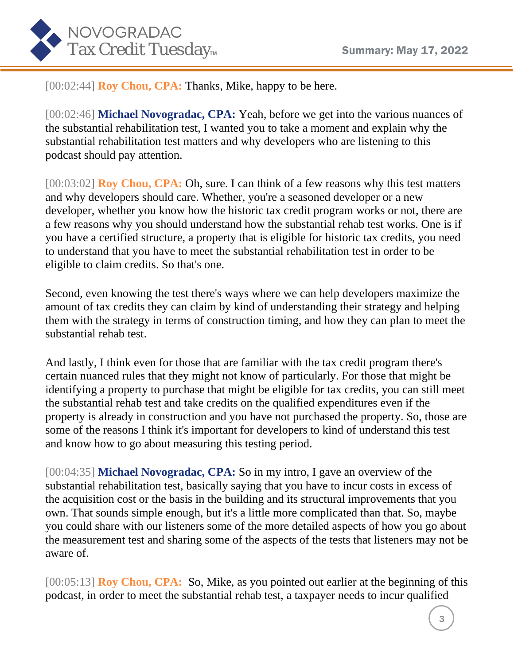

[00:02:44] **Roy Chou, CPA:** Thanks, Mike, happy to be here.

[00:02:46] **Michael Novogradac, CPA:** Yeah, before we get into the various nuances of the substantial rehabilitation test, I wanted you to take a moment and explain why the substantial rehabilitation test matters and why developers who are listening to this podcast should pay attention.

[00:03:02] **Roy Chou, CPA:** Oh, sure. I can think of a few reasons why this test matters and why developers should care. Whether, you're a seasoned developer or a new developer, whether you know how the historic tax credit program works or not, there are a few reasons why you should understand how the substantial rehab test works. One is if you have a certified structure, a property that is eligible for historic tax credits, you need to understand that you have to meet the substantial rehabilitation test in order to be eligible to claim credits. So that's one.

Second, even knowing the test there's ways where we can help developers maximize the amount of tax credits they can claim by kind of understanding their strategy and helping them with the strategy in terms of construction timing, and how they can plan to meet the substantial rehab test.

And lastly, I think even for those that are familiar with the tax credit program there's certain nuanced rules that they might not know of particularly. For those that might be identifying a property to purchase that might be eligible for tax credits, you can still meet the substantial rehab test and take credits on the qualified expenditures even if the property is already in construction and you have not purchased the property. So, those are some of the reasons I think it's important for developers to kind of understand this test and know how to go about measuring this testing period.

[00:04:35] **Michael Novogradac, CPA:** So in my intro, I gave an overview of the substantial rehabilitation test, basically saying that you have to incur costs in excess of the acquisition cost or the basis in the building and its structural improvements that you own. That sounds simple enough, but it's a little more complicated than that. So, maybe you could share with our listeners some of the more detailed aspects of how you go about the measurement test and sharing some of the aspects of the tests that listeners may not be aware of.

[00:05:13] **Roy Chou, CPA:** So, Mike, as you pointed out earlier at the beginning of this podcast, in order to meet the substantial rehab test, a taxpayer needs to incur qualified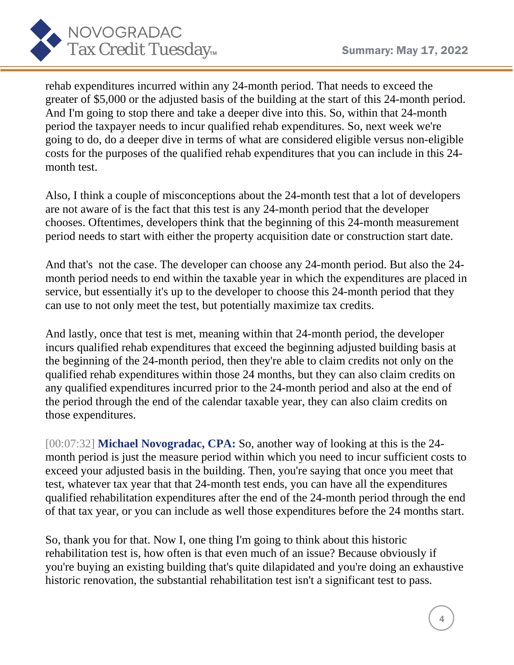

rehab expenditures incurred within any 24-month period. That needs to exceed the greater of \$5,000 or the adjusted basis of the building at the start of this 24-month period. And I'm going to stop there and take a deeper dive into this. So, within that 24-month period the taxpayer needs to incur qualified rehab expenditures. So, next week we're going to do, do a deeper dive in terms of what are considered eligible versus non-eligible costs for the purposes of the qualified rehab expenditures that you can include in this 24 month test.

Also, I think a couple of misconceptions about the 24-month test that a lot of developers are not aware of is the fact that this test is any 24-month period that the developer chooses. Oftentimes, developers think that the beginning of this 24-month measurement period needs to start with either the property acquisition date or construction start date.

And that's not the case. The developer can choose any 24-month period. But also the 24 month period needs to end within the taxable year in which the expenditures are placed in service, but essentially it's up to the developer to choose this 24-month period that they can use to not only meet the test, but potentially maximize tax credits.

And lastly, once that test is met, meaning within that 24-month period, the developer incurs qualified rehab expenditures that exceed the beginning adjusted building basis at the beginning of the 24-month period, then they're able to claim credits not only on the qualified rehab expenditures within those 24 months, but they can also claim credits on any qualified expenditures incurred prior to the 24-month period and also at the end of the period through the end of the calendar taxable year, they can also claim credits on those expenditures.

[00:07:32] **Michael Novogradac, CPA:** So, another way of looking at this is the 24 month period is just the measure period within which you need to incur sufficient costs to exceed your adjusted basis in the building. Then, you're saying that once you meet that test, whatever tax year that that 24-month test ends, you can have all the expenditures qualified rehabilitation expenditures after the end of the 24-month period through the end of that tax year, or you can include as well those expenditures before the 24 months start.

So, thank you for that. Now I, one thing I'm going to think about this historic rehabilitation test is, how often is that even much of an issue? Because obviously if you're buying an existing building that's quite dilapidated and you're doing an exhaustive historic renovation, the substantial rehabilitation test isn't a significant test to pass.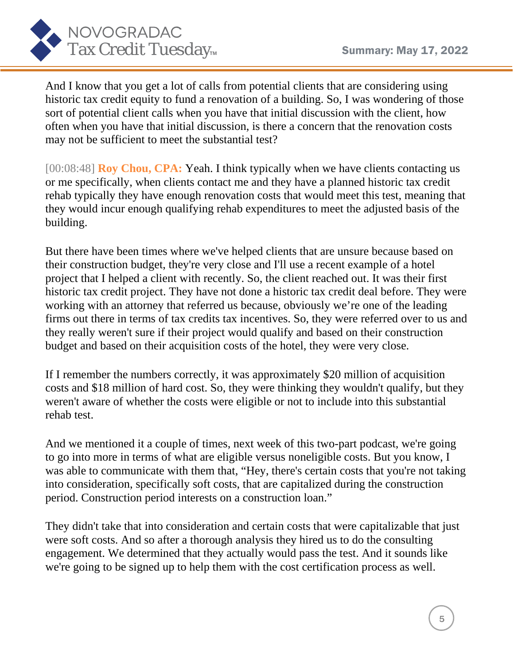

And I know that you get a lot of calls from potential clients that are considering using historic tax credit equity to fund a renovation of a building. So, I was wondering of those sort of potential client calls when you have that initial discussion with the client, how often when you have that initial discussion, is there a concern that the renovation costs may not be sufficient to meet the substantial test?

[00:08:48] **Roy Chou, CPA:** Yeah. I think typically when we have clients contacting us or me specifically, when clients contact me and they have a planned historic tax credit rehab typically they have enough renovation costs that would meet this test, meaning that they would incur enough qualifying rehab expenditures to meet the adjusted basis of the building.

But there have been times where we've helped clients that are unsure because based on their construction budget, they're very close and I'll use a recent example of a hotel project that I helped a client with recently. So, the client reached out. It was their first historic tax credit project. They have not done a historic tax credit deal before. They were working with an attorney that referred us because, obviously we're one of the leading firms out there in terms of tax credits tax incentives. So, they were referred over to us and they really weren't sure if their project would qualify and based on their construction budget and based on their acquisition costs of the hotel, they were very close.

If I remember the numbers correctly, it was approximately \$20 million of acquisition costs and \$18 million of hard cost. So, they were thinking they wouldn't qualify, but they weren't aware of whether the costs were eligible or not to include into this substantial rehab test.

And we mentioned it a couple of times, next week of this two-part podcast, we're going to go into more in terms of what are eligible versus noneligible costs. But you know, I was able to communicate with them that, "Hey, there's certain costs that you're not taking into consideration, specifically soft costs, that are capitalized during the construction period. Construction period interests on a construction loan."

They didn't take that into consideration and certain costs that were capitalizable that just were soft costs. And so after a thorough analysis they hired us to do the consulting engagement. We determined that they actually would pass the test. And it sounds like we're going to be signed up to help them with the cost certification process as well.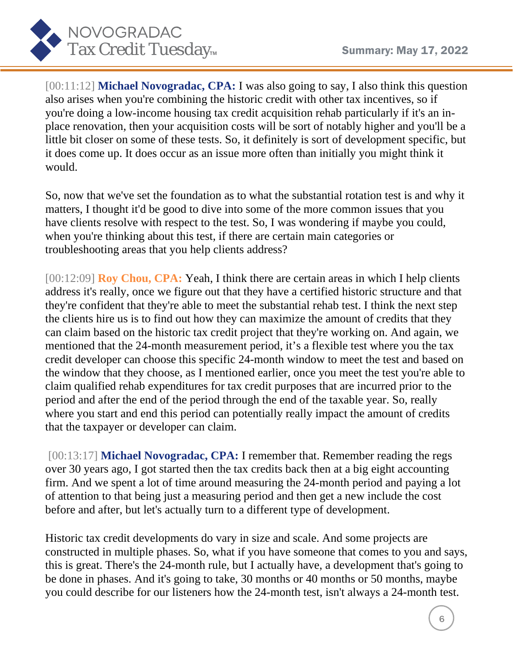

[00:11:12] **Michael Novogradac, CPA:** I was also going to say, I also think this question also arises when you're combining the historic credit with other tax incentives, so if you're doing a low-income housing tax credit acquisition rehab particularly if it's an inplace renovation, then your acquisition costs will be sort of notably higher and you'll be a little bit closer on some of these tests. So, it definitely is sort of development specific, but it does come up. It does occur as an issue more often than initially you might think it would.

So, now that we've set the foundation as to what the substantial rotation test is and why it matters, I thought it'd be good to dive into some of the more common issues that you have clients resolve with respect to the test. So, I was wondering if maybe you could, when you're thinking about this test, if there are certain main categories or troubleshooting areas that you help clients address?

[00:12:09] **Roy Chou, CPA:** Yeah, I think there are certain areas in which I help clients address it's really, once we figure out that they have a certified historic structure and that they're confident that they're able to meet the substantial rehab test. I think the next step the clients hire us is to find out how they can maximize the amount of credits that they can claim based on the historic tax credit project that they're working on. And again, we mentioned that the 24-month measurement period, it's a flexible test where you the tax credit developer can choose this specific 24-month window to meet the test and based on the window that they choose, as I mentioned earlier, once you meet the test you're able to claim qualified rehab expenditures for tax credit purposes that are incurred prior to the period and after the end of the period through the end of the taxable year. So, really where you start and end this period can potentially really impact the amount of credits that the taxpayer or developer can claim.

[00:13:17] **Michael Novogradac, CPA:** I remember that. Remember reading the regs over 30 years ago, I got started then the tax credits back then at a big eight accounting firm. And we spent a lot of time around measuring the 24-month period and paying a lot of attention to that being just a measuring period and then get a new include the cost before and after, but let's actually turn to a different type of development.

Historic tax credit developments do vary in size and scale. And some projects are constructed in multiple phases. So, what if you have someone that comes to you and says, this is great. There's the 24-month rule, but I actually have, a development that's going to be done in phases. And it's going to take, 30 months or 40 months or 50 months, maybe you could describe for our listeners how the 24-month test, isn't always a 24-month test.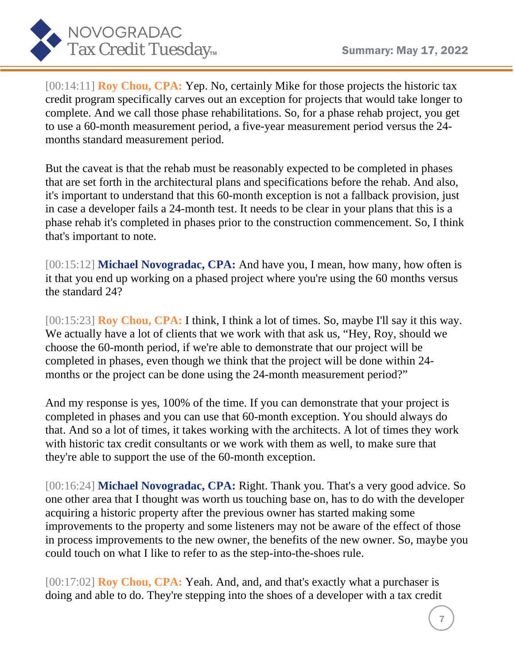

[00:14:11] **Roy Chou, CPA:** Yep. No, certainly Mike for those projects the historic tax credit program specifically carves out an exception for projects that would take longer to complete. And we call those phase rehabilitations. So, for a phase rehab project, you get to use a 60-month measurement period, a five-year measurement period versus the 24 months standard measurement period.

But the caveat is that the rehab must be reasonably expected to be completed in phases that are set forth in the architectural plans and specifications before the rehab. And also, it's important to understand that this 60-month exception is not a fallback provision, just in case a developer fails a 24-month test. It needs to be clear in your plans that this is a phase rehab it's completed in phases prior to the construction commencement. So, I think that's important to note.

[00:15:12] **Michael Novogradac, CPA:** And have you, I mean, how many, how often is it that you end up working on a phased project where you're using the 60 months versus the standard 24?

[00:15:23] **Roy Chou, CPA:** I think, I think a lot of times. So, maybe I'll say it this way. We actually have a lot of clients that we work with that ask us, "Hey, Roy, should we choose the 60-month period, if we're able to demonstrate that our project will be completed in phases, even though we think that the project will be done within 24 months or the project can be done using the 24-month measurement period?"

And my response is yes, 100% of the time. If you can demonstrate that your project is completed in phases and you can use that 60-month exception. You should always do that. And so a lot of times, it takes working with the architects. A lot of times they work with historic tax credit consultants or we work with them as well, to make sure that they're able to support the use of the 60-month exception.

[00:16:24] **Michael Novogradac, CPA:** Right. Thank you. That's a very good advice. So one other area that I thought was worth us touching base on, has to do with the developer acquiring a historic property after the previous owner has started making some improvements to the property and some listeners may not be aware of the effect of those in process improvements to the new owner, the benefits of the new owner. So, maybe you could touch on what I like to refer to as the step-into-the-shoes rule.

[00:17:02] **Roy Chou, CPA:** Yeah. And, and, and that's exactly what a purchaser is doing and able to do. They're stepping into the shoes of a developer with a tax credit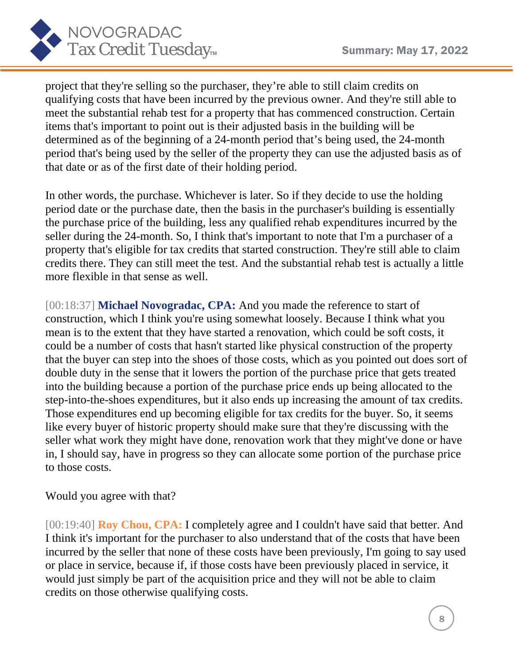

project that they're selling so the purchaser, they're able to still claim credits on qualifying costs that have been incurred by the previous owner. And they're still able to meet the substantial rehab test for a property that has commenced construction. Certain items that's important to point out is their adjusted basis in the building will be determined as of the beginning of a 24-month period that's being used, the 24-month period that's being used by the seller of the property they can use the adjusted basis as of that date or as of the first date of their holding period.

In other words, the purchase. Whichever is later. So if they decide to use the holding period date or the purchase date, then the basis in the purchaser's building is essentially the purchase price of the building, less any qualified rehab expenditures incurred by the seller during the 24-month. So, I think that's important to note that I'm a purchaser of a property that's eligible for tax credits that started construction. They're still able to claim credits there. They can still meet the test. And the substantial rehab test is actually a little more flexible in that sense as well.

[00:18:37] **Michael Novogradac, CPA:** And you made the reference to start of construction, which I think you're using somewhat loosely. Because I think what you mean is to the extent that they have started a renovation, which could be soft costs, it could be a number of costs that hasn't started like physical construction of the property that the buyer can step into the shoes of those costs, which as you pointed out does sort of double duty in the sense that it lowers the portion of the purchase price that gets treated into the building because a portion of the purchase price ends up being allocated to the step-into-the-shoes expenditures, but it also ends up increasing the amount of tax credits. Those expenditures end up becoming eligible for tax credits for the buyer. So, it seems like every buyer of historic property should make sure that they're discussing with the seller what work they might have done, renovation work that they might've done or have in, I should say, have in progress so they can allocate some portion of the purchase price to those costs.

Would you agree with that?

[00:19:40] **Roy Chou, CPA:** I completely agree and I couldn't have said that better. And I think it's important for the purchaser to also understand that of the costs that have been incurred by the seller that none of these costs have been previously, I'm going to say used or place in service, because if, if those costs have been previously placed in service, it would just simply be part of the acquisition price and they will not be able to claim credits on those otherwise qualifying costs.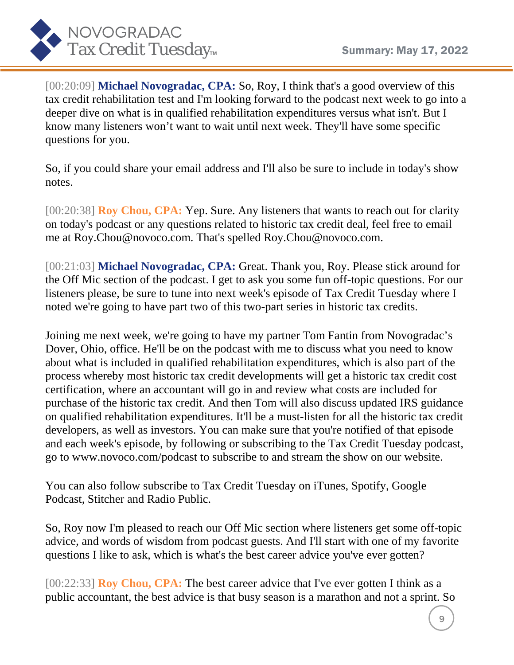

[00:20:09] **Michael Novogradac, CPA: So, Roy, I think that's a good overview of this** tax credit rehabilitation test and I'm looking forward to the podcast next week to go into a deeper dive on what is in qualified rehabilitation expenditures versus what isn't. But I know many listeners won't want to wait until next week. They'll have some specific questions for you.

So, if you could share your email address and I'll also be sure to include in today's show notes.

[00:20:38] **Roy Chou, CPA:** Yep. Sure. Any listeners that wants to reach out for clarity on today's podcast or any questions related to historic tax credit deal, feel free to email me at Roy.Chou@novoco.com. That's spelled Roy.Chou@novoco.com.

[00:21:03] **Michael Novogradac, CPA:** Great. Thank you, Roy. Please stick around for the Off Mic section of the podcast. I get to ask you some fun off-topic questions. For our listeners please, be sure to tune into next week's episode of Tax Credit Tuesday where I noted we're going to have part two of this two-part series in historic tax credits.

Joining me next week, we're going to have my partner Tom Fantin from Novogradac's Dover, Ohio, office. He'll be on the podcast with me to discuss what you need to know about what is included in qualified rehabilitation expenditures, which is also part of the process whereby most historic tax credit developments will get a historic tax credit cost certification, where an accountant will go in and review what costs are included for purchase of the historic tax credit. And then Tom will also discuss updated IRS guidance on qualified rehabilitation expenditures. It'll be a must-listen for all the historic tax credit developers, as well as investors. You can make sure that you're notified of that episode and each week's episode, by following or subscribing to the Tax Credit Tuesday podcast, go to www.novoco.com/podcast to subscribe to and stream the show on our website.

You can also follow subscribe to Tax Credit Tuesday on iTunes, Spotify, Google Podcast, Stitcher and Radio Public.

So, Roy now I'm pleased to reach our Off Mic section where listeners get some off-topic advice, and words of wisdom from podcast guests. And I'll start with one of my favorite questions I like to ask, which is what's the best career advice you've ever gotten?

[00:22:33] **Roy Chou, CPA:** The best career advice that I've ever gotten I think as a public accountant, the best advice is that busy season is a marathon and not a sprint. So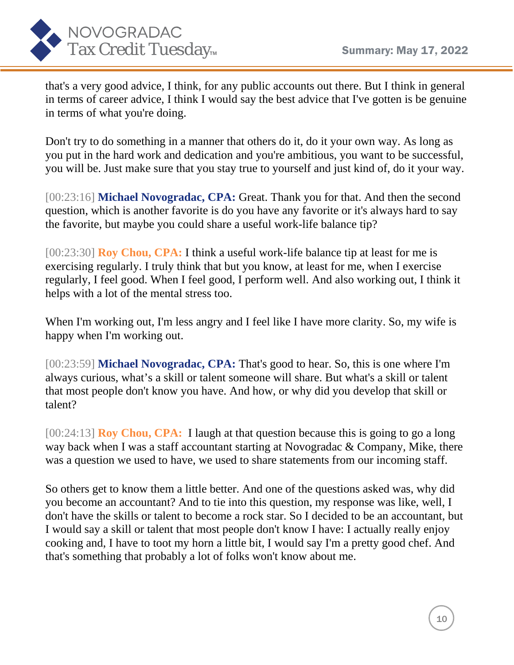

that's a very good advice, I think, for any public accounts out there. But I think in general in terms of career advice, I think I would say the best advice that I've gotten is be genuine in terms of what you're doing.

Don't try to do something in a manner that others do it, do it your own way. As long as you put in the hard work and dedication and you're ambitious, you want to be successful, you will be. Just make sure that you stay true to yourself and just kind of, do it your way.

[00:23:16] **Michael Novogradac, CPA:** Great. Thank you for that. And then the second question, which is another favorite is do you have any favorite or it's always hard to say the favorite, but maybe you could share a useful work-life balance tip?

[00:23:30] **Roy Chou, CPA:** I think a useful work-life balance tip at least for me is exercising regularly. I truly think that but you know, at least for me, when I exercise regularly, I feel good. When I feel good, I perform well. And also working out, I think it helps with a lot of the mental stress too.

When I'm working out, I'm less angry and I feel like I have more clarity. So, my wife is happy when I'm working out.

[00:23:59] **Michael Novogradac, CPA:** That's good to hear. So, this is one where I'm always curious, what's a skill or talent someone will share. But what's a skill or talent that most people don't know you have. And how, or why did you develop that skill or talent?

[00:24:13] **Roy Chou, CPA:** I laugh at that question because this is going to go a long way back when I was a staff accountant starting at Novogradac & Company, Mike, there was a question we used to have, we used to share statements from our incoming staff.

So others get to know them a little better. And one of the questions asked was, why did you become an accountant? And to tie into this question, my response was like, well, I don't have the skills or talent to become a rock star. So I decided to be an accountant, but I would say a skill or talent that most people don't know I have: I actually really enjoy cooking and, I have to toot my horn a little bit, I would say I'm a pretty good chef. And that's something that probably a lot of folks won't know about me.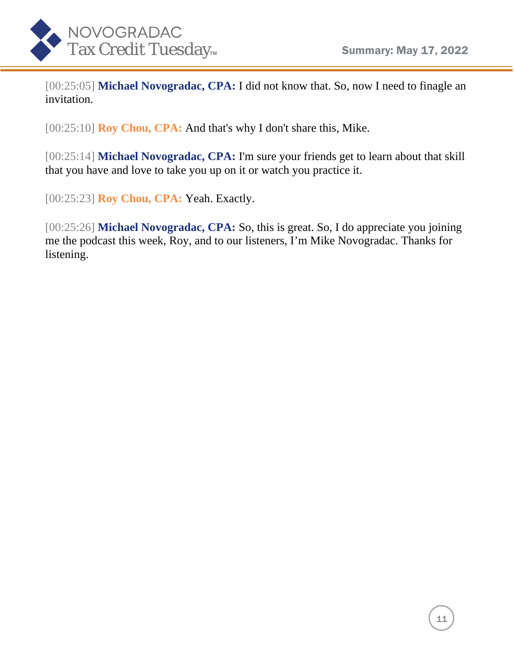

[00:25:05] **Michael Novogradac, CPA:** I did not know that. So, now I need to finagle an invitation.

[00:25:10] **Roy Chou, CPA:** And that's why I don't share this, Mike.

[00:25:14] **Michael Novogradac, CPA:** I'm sure your friends get to learn about that skill that you have and love to take you up on it or watch you practice it.

[00:25:23] **Roy Chou, CPA:** Yeah. Exactly.

[00:25:26] **Michael Novogradac, CPA:** So, this is great. So, I do appreciate you joining me the podcast this week, Roy, and to our listeners, I'm Mike Novogradac. Thanks for listening.